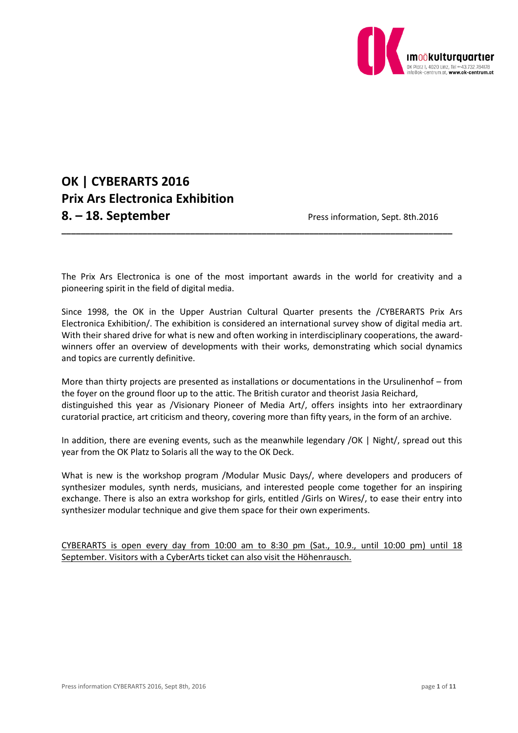

# **OK | CYBERARTS 2016 Prix Ars Electronica Exhibition 8. – 18. September** Press information, Sept. 8th.2016

The Prix Ars Electronica is one of the most important awards in the world for creativity and a pioneering spirit in the field of digital media.

**\_\_\_\_\_\_\_\_\_\_\_\_\_\_\_\_\_\_\_\_\_\_\_\_\_\_\_\_\_\_\_\_\_\_\_\_\_\_\_\_\_\_\_\_\_\_\_\_\_\_\_\_\_\_\_\_\_\_\_\_\_\_\_\_\_\_\_\_\_\_\_\_\_\_\_\_\_\_\_\_\_\_**

Since 1998, the OK in the Upper Austrian Cultural Quarter presents the /CYBERARTS Prix Ars Electronica Exhibition/. The exhibition is considered an international survey show of digital media art. With their shared drive for what is new and often working in interdisciplinary cooperations, the awardwinners offer an overview of developments with their works, demonstrating which social dynamics and topics are currently definitive.

More than thirty projects are presented as installations or documentations in the Ursulinenhof – from the foyer on the ground floor up to the attic. The British curator and theorist Jasia Reichard, distinguished this year as /Visionary Pioneer of Media Art/, offers insights into her extraordinary curatorial practice, art criticism and theory, covering more than fifty years, in the form of an archive.

In addition, there are evening events, such as the meanwhile legendary /OK | Night/, spread out this year from the OK Platz to Solaris all the way to the OK Deck.

What is new is the workshop program /Modular Music Days/, where developers and producers of synthesizer modules, synth nerds, musicians, and interested people come together for an inspiring exchange. There is also an extra workshop for girls, entitled /Girls on Wires/, to ease their entry into synthesizer modular technique and give them space for their own experiments.

CYBERARTS is open every day from 10:00 am to 8:30 pm (Sat., 10.9., until 10:00 pm) until 18 September. Visitors with a CyberArts ticket can also visit the Höhenrausch.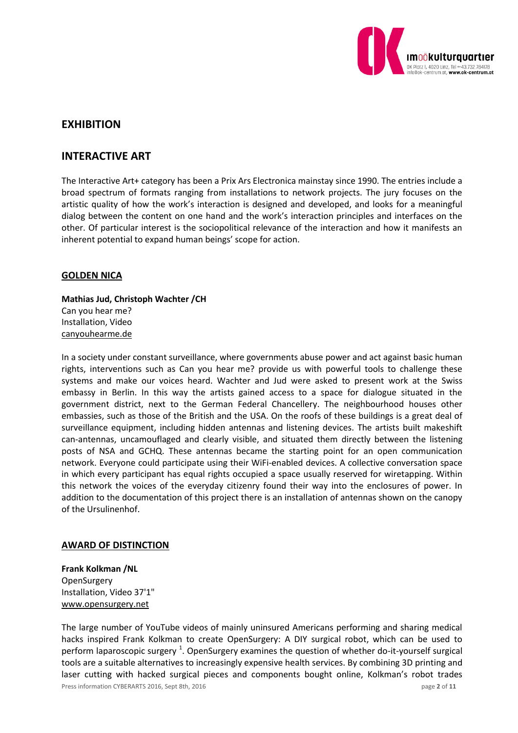

# **EXHIBITION**

# **INTERACTIVE ART**

The Interactive Art+ category has been a Prix Ars Electronica mainstay since 1990. The entries include a broad spectrum of formats ranging from installations to network projects. The jury focuses on the artistic quality of how the work's interaction is designed and developed, and looks for a meaningful dialog between the content on one hand and the work's interaction principles and interfaces on the other. Of particular interest is the sociopolitical relevance of the interaction and how it manifests an inherent potential to expand human beings' scope for action.

### **GOLDEN NICA**

**Mathias Jud, Christoph Wachter /CH** Can you hear me? Installation, Video canyouhearme.de

In a society under constant surveillance, where governments abuse power and act against basic human rights, interventions such as Can you hear me? provide us with powerful tools to challenge these systems and make our voices heard. Wachter and Jud were asked to present work at the Swiss embassy in Berlin. In this way the artists gained access to a space for dialogue situated in the government district, next to the German Federal Chancellery. The neighbourhood houses other embassies, such as those of the British and the USA. On the roofs of these buildings is a great deal of surveillance equipment, including hidden antennas and listening devices. The artists built makeshift can-antennas, uncamouflaged and clearly visible, and situated them directly between the listening posts of NSA and GCHQ. These antennas became the starting point for an open communication network. Everyone could participate using their WiFi-enabled devices. A collective conversation space in which every participant has equal rights occupied a space usually reserved for wiretapping. Within this network the voices of the everyday citizenry found their way into the enclosures of power. In addition to the documentation of this project there is an installation of antennas shown on the canopy of the Ursulinenhof.

### **AWARD OF DISTINCTION**

**Frank Kolkman /NL OpenSurgery** Installation, Video 37'1" www.opensurgery.net

Press information CYBERARTS 2016, Sept 8th, 2016 **page 2** of **11** page **2** of **11** The large number of YouTube videos of mainly uninsured Americans performing and sharing medical hacks inspired Frank Kolkman to create OpenSurgery: A DIY surgical robot, which can be used to perform laparoscopic surgery <sup>1</sup>. OpenSurgery examines the question of whether do-it-yourself surgical tools are a suitable alternatives to increasingly expensive health services. By combining 3D printing and laser cutting with hacked surgical pieces and components bought online, Kolkman's robot trades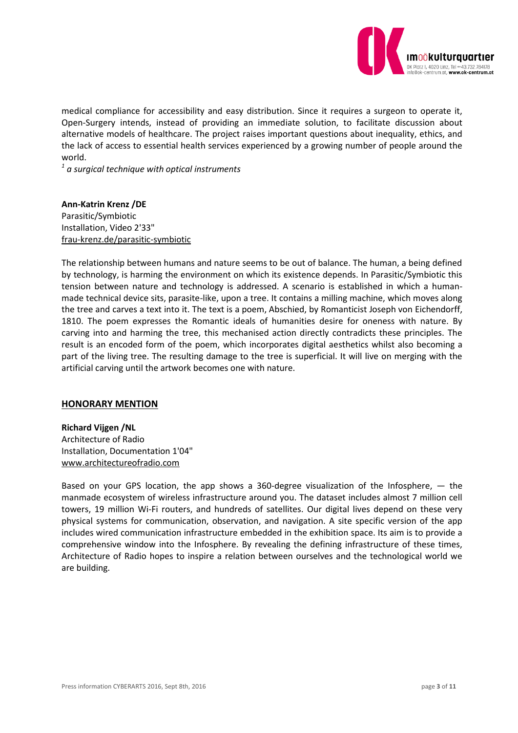

medical compliance for accessibility and easy distribution. Since it requires a surgeon to operate it, Open-Surgery intends, instead of providing an immediate solution, to facilitate discussion about alternative models of healthcare. The project raises important questions about inequality, ethics, and the lack of access to essential health services experienced by a growing number of people around the world.

*1 a surgical technique with optical instruments*

**Ann-Katrin Krenz /DE** Parasitic/Symbiotic Installation, Video 2'33" frau-krenz.de/parasitic-symbiotic

The relationship between humans and nature seems to be out of balance. The human, a being defined by technology, is harming the environment on which its existence depends. In Parasitic/Symbiotic this tension between nature and technology is addressed. A scenario is established in which a humanmade technical device sits, parasite-like, upon a tree. It contains a milling machine, which moves along the tree and carves a text into it. The text is a poem, Abschied, by Romanticist Joseph von Eichendorff, 1810. The poem expresses the Romantic ideals of humanities desire for oneness with nature. By carving into and harming the tree, this mechanised action directly contradicts these principles. The result is an encoded form of the poem, which incorporates digital aesthetics whilst also becoming a part of the living tree. The resulting damage to the tree is superficial. It will live on merging with the artificial carving until the artwork becomes one with nature.

### **HONORARY MENTION**

**Richard Vijgen /NL** Architecture of Radio Installation, Documentation 1'04" [www.architectureofradio.com](http://www.architectureofradio.com/)

Based on your GPS location, the app shows a 360-degree visualization of the Infosphere,  $-$  the manmade ecosystem of wireless infrastructure around you. The dataset includes almost 7 million cell towers, 19 million Wi-Fi routers, and hundreds of satellites. Our digital lives depend on these very physical systems for communication, observation, and navigation. A site specific version of the app includes wired communication infrastructure embedded in the exhibition space. Its aim is to provide a comprehensive window into the Infosphere. By revealing the defining infrastructure of these times, Architecture of Radio hopes to inspire a relation between ourselves and the technological world we are building.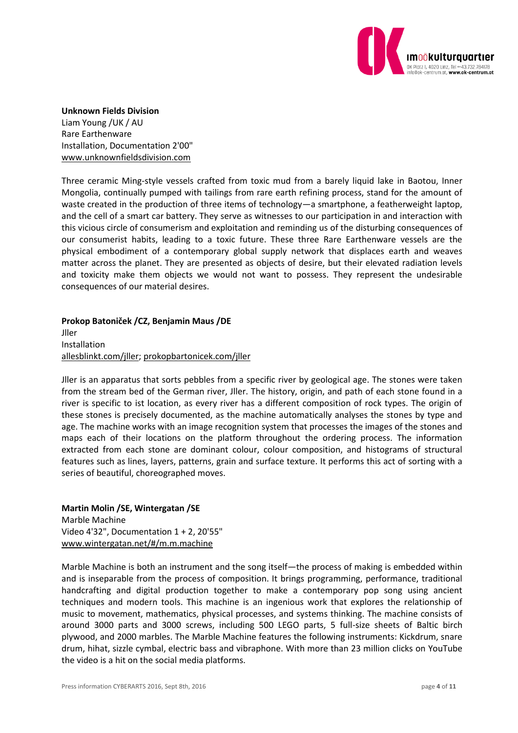

#### **Unknown Fields Division**

Liam Young /UK / AU Rare Earthenware Installation, Documentation 2'00" [www.unknownfieldsdivision.com](http://www.unknownfieldsdivision.com/)

Three ceramic Ming-style vessels crafted from toxic mud from a barely liquid lake in Baotou, Inner Mongolia, continually pumped with tailings from rare earth refining process, stand for the amount of waste created in the production of three items of technology—a smartphone, a featherweight laptop, and the cell of a smart car battery. They serve as witnesses to our participation in and interaction with this vicious circle of consumerism and exploitation and reminding us of the disturbing consequences of our consumerist habits, leading to a toxic future. These three Rare Earthenware vessels are the physical embodiment of a contemporary global supply network that displaces earth and weaves matter across the planet. They are presented as objects of desire, but their elevated radiation levels and toxicity make them objects we would not want to possess. They represent the undesirable consequences of our material desires.

**Prokop Batoniček /CZ, Benjamin Maus /DE** Jller Installation allesblinkt.com/jller; prokopbartonicek.com/jller

Jller is an apparatus that sorts pebbles from a specific river by geological age. The stones were taken from the stream bed of the German river, Jller. The history, origin, and path of each stone found in a river is specific to ist location, as every river has a different composition of rock types. The origin of these stones is precisely documented, as the machine automatically analyses the stones by type and age. The machine works with an image recognition system that processes the images of the stones and maps each of their locations on the platform throughout the ordering process. The information extracted from each stone are dominant colour, colour composition, and histograms of structural features such as lines, layers, patterns, grain and surface texture. It performs this act of sorting with a series of beautiful, choreographed moves.

### **Martin Molin /SE, Wintergatan /SE** Marble Machine Video 4'32", Documentation 1 + 2, 20'55" www.wintergatan.net/#/m.m.machine

Marble Machine is both an instrument and the song itself—the process of making is embedded within and is inseparable from the process of composition. It brings programming, performance, traditional handcrafting and digital production together to make a contemporary pop song using ancient techniques and modern tools. This machine is an ingenious work that explores the relationship of music to movement, mathematics, physical processes, and systems thinking. The machine consists of around 3000 parts and 3000 screws, including 500 LEGO parts, 5 full-size sheets of Baltic birch plywood, and 2000 marbles. The Marble Machine features the following instruments: Kickdrum, snare drum, hihat, sizzle cymbal, electric bass and vibraphone. With more than 23 million clicks on YouTube the video is a hit on the social media platforms.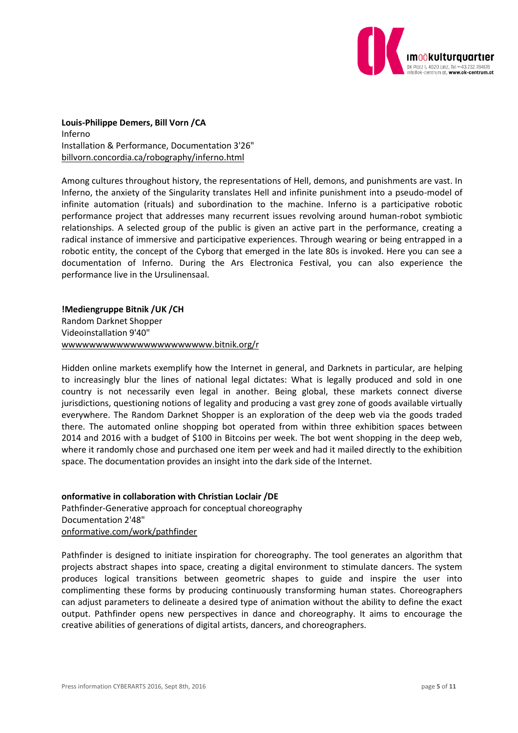

**Louis-Philippe Demers, Bill Vorn /CA** Inferno Installation & Performance, Documentation 3'26" billvorn.concordia.ca/robography/inferno.html

Among cultures throughout history, the representations of Hell, demons, and punishments are vast. In Inferno, the anxiety of the Singularity translates Hell and infinite punishment into a pseudo-model of infinite automation (rituals) and subordination to the machine. Inferno is a participative robotic performance project that addresses many recurrent issues revolving around human-robot symbiotic relationships. A selected group of the public is given an active part in the performance, creating a radical instance of immersive and participative experiences. Through wearing or being entrapped in a robotic entity, the concept of the Cyborg that emerged in the late 80s is invoked. Here you can see a documentation of Inferno. During the Ars Electronica Festival, you can also experience the performance live in the Ursulinensaal.

**!Mediengruppe Bitnik /UK /CH** Random Darknet Shopper Videoinstallation 9'40" wwwwwwwwwwwwwwwwwwwwww.bitnik.org/r

Hidden online markets exemplify how the Internet in general, and Darknets in particular, are helping to increasingly blur the lines of national legal dictates: What is legally produced and sold in one country is not necessarily even legal in another. Being global, these markets connect diverse jurisdictions, questioning notions of legality and producing a vast grey zone of goods available virtually everywhere. The Random Darknet Shopper is an exploration of the deep web via the goods traded there. The automated online shopping bot operated from within three exhibition spaces between 2014 and 2016 with a budget of \$100 in Bitcoins per week. The bot went shopping in the deep web, where it randomly chose and purchased one item per week and had it mailed directly to the exhibition space. The documentation provides an insight into the dark side of the Internet.

**onformative in collaboration with Christian Loclair /DE** Pathfinder-Generative approach for conceptual choreography Documentation 2'48" onformative.com/work/pathfinder

Pathfinder is designed to initiate inspiration for choreography. The tool generates an algorithm that projects abstract shapes into space, creating a digital environment to stimulate dancers. The system produces logical transitions between geometric shapes to guide and inspire the user into complimenting these forms by producing continuously transforming human states. Choreographers can adjust parameters to delineate a desired type of animation without the ability to define the exact output. Pathfinder opens new perspectives in dance and choreography. It aims to encourage the creative abilities of generations of digital artists, dancers, and choreographers.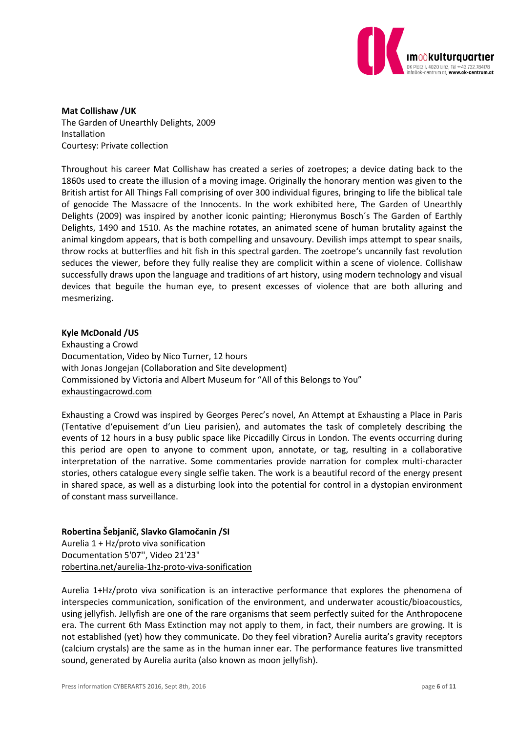

**Mat Collishaw /UK** The Garden of Unearthly Delights, 2009 Installation Courtesy: Private collection

Throughout his career Mat Collishaw has created a series of zoetropes; a device dating back to the 1860s used to create the illusion of a moving image. Originally the honorary mention was given to the British artist for All Things Fall comprising of over 300 individual figures, bringing to life the biblical tale of genocide The Massacre of the Innocents. In the work exhibited here, The Garden of Unearthly Delights (2009) was inspired by another iconic painting; Hieronymus Bosch´s The Garden of Earthly Delights, 1490 and 1510. As the machine rotates, an animated scene of human brutality against the animal kingdom appears, that is both compelling and unsavoury. Devilish imps attempt to spear snails, throw rocks at butterflies and hit fish in this spectral garden. The zoetrope's uncannily fast revolution seduces the viewer, before they fully realise they are complicit within a scene of violence. Collishaw successfully draws upon the language and traditions of art history, using modern technology and visual devices that beguile the human eye, to present excesses of violence that are both alluring and mesmerizing.

#### **Kyle McDonald /US**

Exhausting a Crowd Documentation, Video by Nico Turner, 12 hours with Jonas Jongejan (Collaboration and Site development) Commissioned by Victoria and Albert Museum for "All of this Belongs to You" exhaustingacrowd.com

Exhausting a Crowd was inspired by Georges Perec's novel, An Attempt at Exhausting a Place in Paris (Tentative d'epuisement d'un Lieu parisien), and automates the task of completely describing the events of 12 hours in a busy public space like Piccadilly Circus in London. The events occurring during this period are open to anyone to comment upon, annotate, or tag, resulting in a collaborative interpretation of the narrative. Some commentaries provide narration for complex multi-character stories, others catalogue every single selfie taken. The work is a beautiful record of the energy present in shared space, as well as a disturbing look into the potential for control in a dystopian environment of constant mass surveillance.

### **Robertina Šebjanič, Slavko Glamočanin /SI**

Aurelia 1 + Hz/proto viva sonification Documentation 5'07'', Video 21'23" robertina.net/aurelia-1hz-proto-viva-sonification

Aurelia 1+Hz/proto viva sonification is an interactive performance that explores the phenomena of interspecies communication, sonification of the environment, and underwater acoustic/bioacoustics, using jellyfish. Jellyfish are one of the rare organisms that seem perfectly suited for the Anthropocene era. The current 6th Mass Extinction may not apply to them, in fact, their numbers are growing. It is not established (yet) how they communicate. Do they feel vibration? Aurelia aurita's gravity receptors (calcium crystals) are the same as in the human inner ear. The performance features live transmitted sound, generated by Aurelia aurita (also known as moon jellyfish).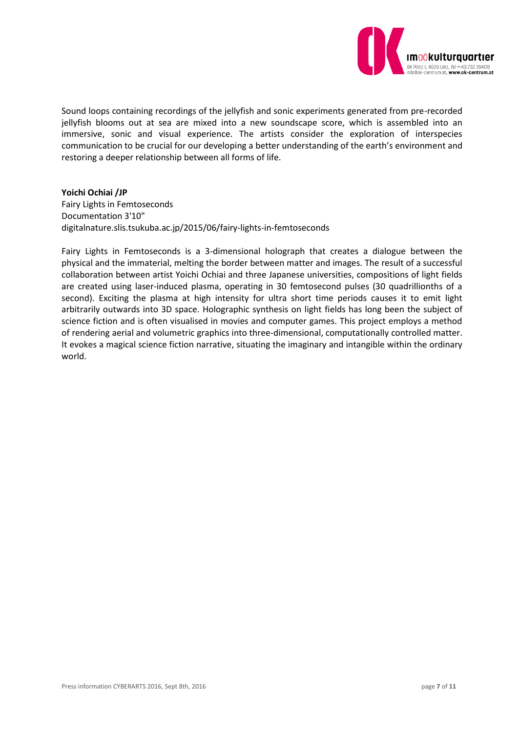

Sound loops containing recordings of the jellyfish and sonic experiments generated from pre-recorded jellyfish blooms out at sea are mixed into a new soundscape score, which is assembled into an immersive, sonic and visual experience. The artists consider the exploration of interspecies communication to be crucial for our developing a better understanding of the earth's environment and restoring a deeper relationship between all forms of life.

#### **Yoichi Ochiai /JP**

Fairy Lights in Femtoseconds Documentation 3'10" digitalnature.slis.tsukuba.ac.jp/2015/06/fairy-lights-in-femtoseconds

Fairy Lights in Femtoseconds is a 3-dimensional holograph that creates a dialogue between the physical and the immaterial, melting the border between matter and images. The result of a successful collaboration between artist Yoichi Ochiai and three Japanese universities, compositions of light fields are created using laser-induced plasma, operating in 30 femtosecond pulses (30 quadrillionths of a second). Exciting the plasma at high intensity for ultra short time periods causes it to emit light arbitrarily outwards into 3D space. Holographic synthesis on light fields has long been the subject of science fiction and is often visualised in movies and computer games. This project employs a method of rendering aerial and volumetric graphics into three-dimensional, computationally controlled matter. It evokes a magical science fiction narrative, situating the imaginary and intangible within the ordinary world.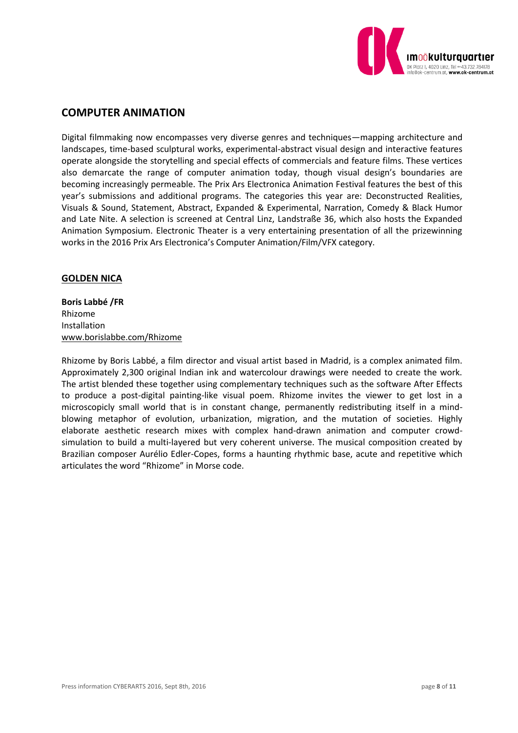

## **COMPUTER ANIMATION**

Digital filmmaking now encompasses very diverse genres and techniques—mapping architecture and landscapes, time-based sculptural works, experimental-abstract visual design and interactive features operate alongside the storytelling and special effects of commercials and feature films. These vertices also demarcate the range of computer animation today, though visual design's boundaries are becoming increasingly permeable. The Prix Ars Electronica Animation Festival features the best of this year's submissions and additional programs. The categories this year are: Deconstructed Realities, Visuals & Sound, Statement, Abstract, Expanded & Experimental, Narration, Comedy & Black Humor and Late Nite. A selection is screened at Central Linz, Landstraße 36, which also hosts the Expanded Animation Symposium. Electronic Theater is a very entertaining presentation of all the prizewinning works in the 2016 Prix Ars Electronica's Computer Animation/Film/VFX category.

### **GOLDEN NICA**

**Boris Labbé /FR** Rhizome Installation www.borislabbe.com/Rhizome

Rhizome by Boris Labbé, a film director and visual artist based in Madrid, is a complex animated film. Approximately 2,300 original Indian ink and watercolour drawings were needed to create the work. The artist blended these together using complementary techniques such as the software After Effects to produce a post-digital painting-like visual poem. Rhizome invites the viewer to get lost in a microscopicly small world that is in constant change, permanently redistributing itself in a mindblowing metaphor of evolution, urbanization, migration, and the mutation of societies. Highly elaborate aesthetic research mixes with complex hand-drawn animation and computer crowdsimulation to build a multi-layered but very coherent universe. The musical composition created by Brazilian composer Aurélio Edler-Copes, forms a haunting rhythmic base, acute and repetitive which articulates the word "Rhizome" in Morse code.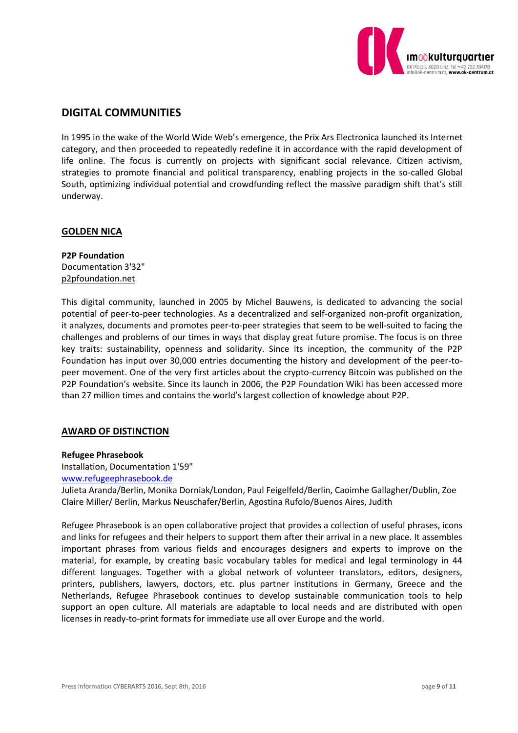

# **DIGITAL COMMUNITIES**

In 1995 in the wake of the World Wide Web's emergence, the Prix Ars Electronica launched its Internet category, and then proceeded to repeatedly redefine it in accordance with the rapid development of life online. The focus is currently on projects with significant social relevance. Citizen activism, strategies to promote financial and political transparency, enabling projects in the so-called Global South, optimizing individual potential and crowdfunding reflect the massive paradigm shift that's still underway.

### **GOLDEN NICA**

**P2P Foundation** Documentation 3'32" p2pfoundation.net

This digital community, launched in 2005 by Michel Bauwens, is dedicated to advancing the social potential of peer-to-peer technologies. As a decentralized and self-organized non-profit organization, it analyzes, documents and promotes peer-to-peer strategies that seem to be well-suited to facing the challenges and problems of our times in ways that display great future promise. The focus is on three key traits: sustainability, openness and solidarity. Since its inception, the community of the P2P Foundation has input over 30,000 entries documenting the history and development of the peer-topeer movement. One of the very first articles about the crypto-currency Bitcoin was published on the P2P Foundation's website. Since its launch in 2006, the P2P Foundation Wiki has been accessed more than 27 million times and contains the world's largest collection of knowledge about P2P.

### **AWARD OF DISTINCTION**

#### **Refugee Phrasebook**

Installation, Documentation 1'59"

### [www.refugeephrasebook.de](http://www.refugeephrasebook.de/)

Julieta Aranda/Berlin, Monika Dorniak/London, Paul Feigelfeld/Berlin, Caoimhe Gallagher/Dublin, Zoe Claire Miller/ Berlin, Markus Neuschafer/Berlin, Agostina Rufolo/Buenos Aires, Judith

Refugee Phrasebook is an open collaborative project that provides a collection of useful phrases, icons and links for refugees and their helpers to support them after their arrival in a new place. It assembles important phrases from various fields and encourages designers and experts to improve on the material, for example, by creating basic vocabulary tables for medical and legal terminology in 44 different languages. Together with a global network of volunteer translators, editors, designers, printers, publishers, lawyers, doctors, etc. plus partner institutions in Germany, Greece and the Netherlands, Refugee Phrasebook continues to develop sustainable communication tools to help support an open culture. All materials are adaptable to local needs and are distributed with open licenses in ready-to-print formats for immediate use all over Europe and the world.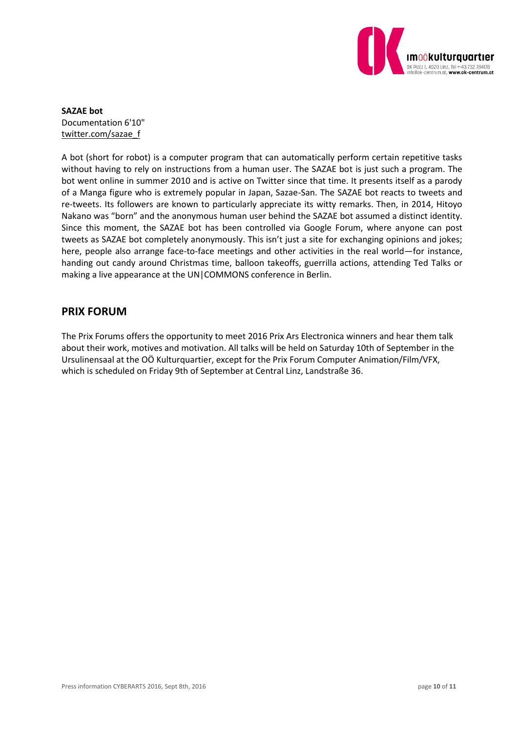

**SAZAE bot** Documentation 6'10" twitter.com/sazae\_f

A bot (short for robot) is a computer program that can automatically perform certain repetitive tasks without having to rely on instructions from a human user. The SAZAE bot is just such a program. The bot went online in summer 2010 and is active on Twitter since that time. It presents itself as a parody of a Manga figure who is extremely popular in Japan, Sazae-San. The SAZAE bot reacts to tweets and re-tweets. Its followers are known to particularly appreciate its witty remarks. Then, in 2014, Hitoyo Nakano was "born" and the anonymous human user behind the SAZAE bot assumed a distinct identity. Since this moment, the SAZAE bot has been controlled via Google Forum, where anyone can post tweets as SAZAE bot completely anonymously. This isn't just a site for exchanging opinions and jokes; here, people also arrange face-to-face meetings and other activities in the real world—for instance, handing out candy around Christmas time, balloon takeoffs, guerrilla actions, attending Ted Talks or making a live appearance at the UN|COMMONS conference in Berlin.

# **PRIX FORUM**

The Prix Forums offers the opportunity to meet 2016 Prix Ars Electronica winners and hear them talk about their work, motives and motivation. All talks will be held on Saturday 10th of September in the Ursulinensaal at the OÖ Kulturquartier, except for the Prix Forum Computer Animation/Film/VFX, which is scheduled on Friday 9th of September at Central Linz, Landstraße 36.